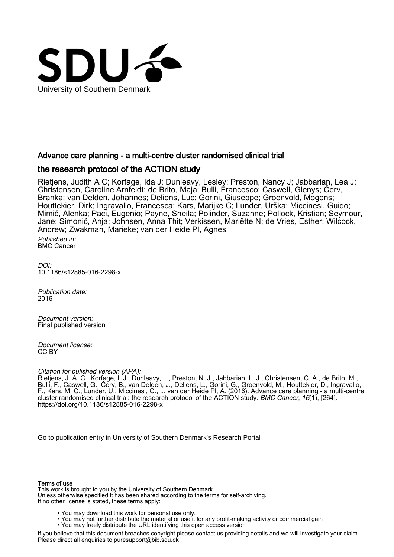

# Advance care planning - a multi-centre cluster randomised clinical trial

# the research protocol of the ACTION study

Rietjens, Judith A C; Korfage, Ida J; Dunleavy, Lesley; Preston, Nancy J; Jabbarian, Lea J; Christensen, Caroline Arnfeldt; de Brito, Maja; Bulli, Francesco; Caswell, Glenys; Červ, Branka; van Delden, Johannes; Deliens, Luc; Gorini, Giuseppe; Groenvold, Mogens; Houttekier, Dirk; Ingravallo, Francesca; Kars, Marijke C; Lunder, Urška; Miccinesi, Guido; Mimić, Alenka; Paci, Eugenio; Payne, Sheila; Polinder, Suzanne; Pollock, Kristian; Seymour, Jane; Simonič, Anja; Johnsen, Anna Thit; Verkissen, Mariëtte N; de Vries, Esther; Wilcock, Andrew; Zwakman, Marieke; van der Heide Pl, Agnes

Published in: BMC Cancer

DOI: [10.1186/s12885-016-2298-x](https://doi.org/10.1186/s12885-016-2298-x)

Publication date: 2016

Document version: Final published version

Document license: CC BY

# Citation for pulished version (APA):

Rietjens, J. A. C., Korfage, I. J., Dunleavy, L., Preston, N. J., Jabbarian, L. J., Christensen, C. A., de Brito, M., Bulli, F., Caswell, G., Červ, B., van Delden, J., Deliens, L., Gorini, G., Groenvold, M., Houttekier, D., Ingravallo, F., Kars, M. C., Lunder, U., Miccinesi, G., ... van der Heide Pl, A. (2016). Advance care planning - a multi-centre cluster randomised clinical trial: the research protocol of the ACTION study. *BMC Cancer*, 16(1), [264]. <https://doi.org/10.1186/s12885-016-2298-x>

[Go to publication entry in University of Southern Denmark's Research Portal](https://portal.findresearcher.sdu.dk/en/publications/71b7d607-9d94-41dc-b4b8-697aa81db77d)

### Terms of use

This work is brought to you by the University of Southern Denmark. Unless otherwise specified it has been shared according to the terms for self-archiving. If no other license is stated, these terms apply:

- You may download this work for personal use only.
- You may not further distribute the material or use it for any profit-making activity or commercial gain
- You may freely distribute the URL identifying this open access version

If you believe that this document breaches copyright please contact us providing details and we will investigate your claim. Please direct all enquiries to puresupport@bib.sdu.dk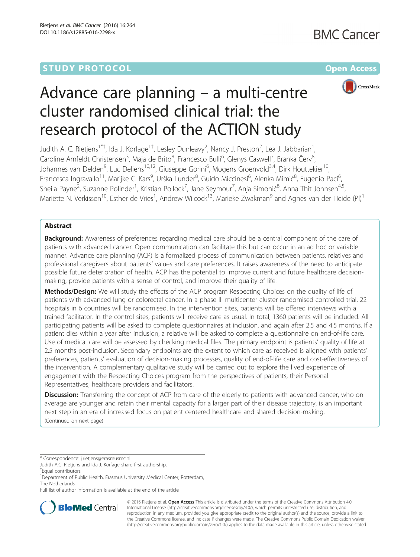# **STUDY PROTOCOL CONSUMING THE RESERVE ACCESS**



# Advance care planning – a multi-centre cluster randomised clinical trial: the research protocol of the ACTION study

Judith A. C. Rietjens<sup>1\*†</sup>, Ida J. Korfage<sup>1†</sup>, Lesley Dunleavy<sup>2</sup>, Nancy J. Preston<sup>2</sup>, Lea J. Jabbarian<sup>1</sup> , Caroline Arnfeldt Christensen<sup>3</sup>, Maja de Brito<sup>8</sup>, Francesco Bulli<sup>6</sup>, Glenys Caswell<sup>7</sup>, Branka Červ<sup>8</sup> , Johannes van Delden<sup>9</sup>, Luc Deliens<sup>10,12</sup>, Giuseppe Gorini<sup>6</sup>, Mogens Groenvold<sup>3,4</sup>, Dirk Houttekier<sup>10</sup>, Francesca Ingravallo<sup>11</sup>, Marijke C. Kars<sup>9</sup>, Urška Lunder<sup>8</sup>, Guido Miccinesi<sup>6</sup>, Alenka Mimić<sup>8</sup>, Eugenio Paci<sup>6</sup> , Sheila Payne<sup>2</sup>, Suzanne Polinder<sup>1</sup>, Kristian Pollock<sup>7</sup>, Jane Seymour<sup>7</sup>, Anja Simonič<sup>8</sup>, Anna Thit Johnsen<sup>4,5</sup>, Mariëtte N. Verkissen<sup>10</sup>, Esther de Vries<sup>1</sup>, Andrew Wilcock<sup>13</sup>, Marieke Zwakman<sup>9</sup> and Agnes van der Heide (PI)<sup>1</sup>

## Abstract

Background: Awareness of preferences regarding medical care should be a central component of the care of patients with advanced cancer. Open communication can facilitate this but can occur in an ad hoc or variable manner. Advance care planning (ACP) is a formalized process of communication between patients, relatives and professional caregivers about patients' values and care preferences. It raises awareness of the need to anticipate possible future deterioration of health. ACP has the potential to improve current and future healthcare decisionmaking, provide patients with a sense of control, and improve their quality of life.

Methods/Design: We will study the effects of the ACP program Respecting Choices on the quality of life of patients with advanced lung or colorectal cancer. In a phase III multicenter cluster randomised controlled trial, 22 hospitals in 6 countries will be randomised. In the intervention sites, patients will be offered interviews with a trained facilitator. In the control sites, patients will receive care as usual. In total, 1360 patients will be included. All participating patients will be asked to complete questionnaires at inclusion, and again after 2.5 and 4.5 months. If a patient dies within a year after inclusion, a relative will be asked to complete a questionnaire on end-of-life care. Use of medical care will be assessed by checking medical files. The primary endpoint is patients' quality of life at 2.5 months post-inclusion. Secondary endpoints are the extent to which care as received is aligned with patients' preferences, patients' evaluation of decision-making processes, quality of end-of-life care and cost-effectiveness of the intervention. A complementary qualitative study will be carried out to explore the lived experience of engagement with the Respecting Choices program from the perspectives of patients, their Personal Representatives, healthcare providers and facilitators.

**Discussion:** Transferring the concept of ACP from care of the elderly to patients with advanced cancer, who on average are younger and retain their mental capacity for a larger part of their disease trajectory, is an important next step in an era of increased focus on patient centered healthcare and shared decision-making. (Continued on next page)

\* Correspondence: [j.rietjens@erasmusmc.nl](mailto:j.rietjens@erasmusmc.nl)

† Equal contributors

<sup>1</sup> Department of Public Health, Erasmus University Medical Center, Rotterdam, The Netherlands

Full list of author information is available at the end of the article



© 2016 Rietiens et al. Open Access This article is distributed under the terms of the Creative Commons Attribution 4.0 International License [\(http://creativecommons.org/licenses/by/4.0/](http://creativecommons.org/licenses/by/4.0/)), which permits unrestricted use, distribution, and reproduction in any medium, provided you give appropriate credit to the original author(s) and the source, provide a link to the Creative Commons license, and indicate if changes were made. The Creative Commons Public Domain Dedication waiver [\(http://creativecommons.org/publicdomain/zero/1.0/](http://creativecommons.org/publicdomain/zero/1.0/)) applies to the data made available in this article, unless otherwise stated.

Judith A.C. Rietjens and Ida J. Korfage share first authorship.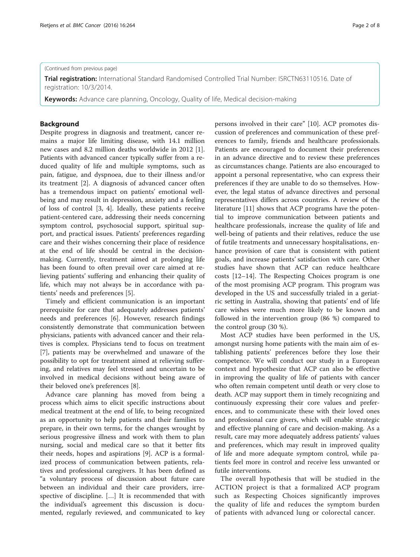#### (Continued from previous page)

Trial registration: International Standard Randomised Controlled Trial Number: [ISRCTN63110516](http://www.controlled-trials.com/ISRCTN63110516). Date of registration: 10/3/2014.

Keywords: Advance care planning, Oncology, Quality of life, Medical decision-making

#### Background

Despite progress in diagnosis and treatment, cancer remains a major life limiting disease, with 14.1 million new cases and 8.2 million deaths worldwide in 2012 [\[1](#page-7-0)]. Patients with advanced cancer typically suffer from a reduced quality of life and multiple symptoms, such as pain, fatigue, and dyspnoea, due to their illness and/or its treatment [[2\]](#page-7-0). A diagnosis of advanced cancer often has a tremendous impact on patients' emotional wellbeing and may result in depression, anxiety and a feeling of loss of control [\[3](#page-7-0), [4\]](#page-7-0). Ideally, these patients receive patient-centered care, addressing their needs concerning symptom control, psychosocial support, spiritual support, and practical issues. Patients' preferences regarding care and their wishes concerning their place of residence at the end of life should be central in the decisionmaking. Currently, treatment aimed at prolonging life has been found to often prevail over care aimed at relieving patients' suffering and enhancing their quality of life, which may not always be in accordance with patients' needs and preferences [\[5\]](#page-7-0).

Timely and efficient communication is an important prerequisite for care that adequately addresses patients' needs and preferences [\[6](#page-7-0)]. However, research findings consistently demonstrate that communication between physicians, patients with advanced cancer and their relatives is complex. Physicians tend to focus on treatment [[7\]](#page-7-0), patients may be overwhelmed and unaware of the possibility to opt for treatment aimed at relieving suffering, and relatives may feel stressed and uncertain to be involved in medical decisions without being aware of their beloved one's preferences [[8\]](#page-7-0).

Advance care planning has moved from being a process which aims to elicit specific instructions about medical treatment at the end of life, to being recognized as an opportunity to help patients and their families to prepare, in their own terms, for the changes wrought by serious progressive illness and work with them to plan nursing, social and medical care so that it better fits their needs, hopes and aspirations [[9\]](#page-7-0). ACP is a formalized process of communication between patients, relatives and professional caregivers. It has been defined as "a voluntary process of discussion about future care between an individual and their care providers, irrespective of discipline. […] It is recommended that with the individual's agreement this discussion is documented, regularly reviewed, and communicated to key persons involved in their care" [\[10](#page-7-0)]. ACP promotes discussion of preferences and communication of these preferences to family, friends and healthcare professionals. Patients are encouraged to document their preferences in an advance directive and to review these preferences as circumstances change. Patients are also encouraged to appoint a personal representative, who can express their preferences if they are unable to do so themselves. However, the legal status of advance directives and personal representatives differs across countries. A review of the literature [\[11\]](#page-7-0) shows that ACP programs have the potential to improve communication between patients and healthcare professionals, increase the quality of life and well-being of patients and their relatives, reduce the use of futile treatments and unnecessary hospitalisations, enhance provision of care that is consistent with patient goals, and increase patients' satisfaction with care. Other studies have shown that ACP can reduce healthcare costs [[12](#page-7-0)–[14](#page-7-0)]. The Respecting Choices program is one of the most promising ACP program. This program was developed in the US and successfully trialed in a geriatric setting in Australia, showing that patients' end of life care wishes were much more likely to be known and followed in the intervention group (86 %) compared to the control group (30 %).

Most ACP studies have been performed in the US, amongst nursing home patients with the main aim of establishing patients' preferences before they lose their competence. We will conduct our study in a European context and hypothesize that ACP can also be effective in improving the quality of life of patients with cancer who often remain competent until death or very close to death. ACP may support them in timely recognizing and continuously expressing their core values and preferences, and to communicate these with their loved ones and professional care givers, which will enable strategic and effective planning of care and decision-making. As a result, care may more adequately address patients' values and preferences, which may result in improved quality of life and more adequate symptom control, while patients feel more in control and receive less unwanted or futile interventions.

The overall hypothesis that will be studied in the ACTION project is that a formalized ACP program such as Respecting Choices significantly improves the quality of life and reduces the symptom burden of patients with advanced lung or colorectal cancer.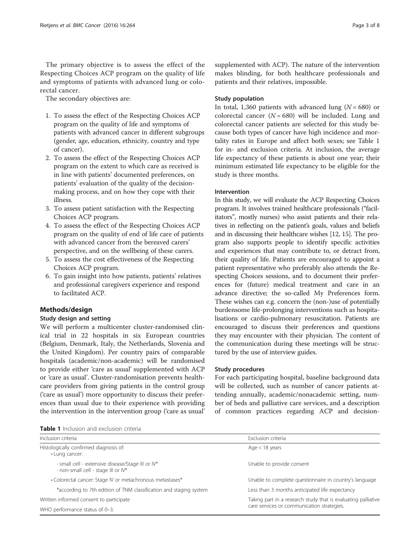The primary objective is to assess the effect of the Respecting Choices ACP program on the quality of life and symptoms of patients with advanced lung or colorectal cancer.

The secondary objectives are:

- 1. To assess the effect of the Respecting Choices ACP program on the quality of life and symptoms of patients with advanced cancer in different subgroups (gender, age, education, ethnicity, country and type of cancer).
- 2. To assess the effect of the Respecting Choices ACP program on the extent to which care as received is in line with patients' documented preferences, on patients' evaluation of the quality of the decisionmaking process, and on how they cope with their illness.
- 3. To assess patient satisfaction with the Respecting Choices ACP program.
- 4. To assess the effect of the Respecting Choices ACP program on the quality of end of life care of patients with advanced cancer from the bereaved carers' perspective, and on the wellbeing of these carers.
- 5. To assess the cost effectiveness of the Respecting Choices ACP program.
- 6. To gain insight into how patients, patients' relatives and professional caregivers experience and respond to facilitated ACP.

#### Methods/design

#### Study design and setting

We will perform a multicenter cluster-randomised clinical trial in 22 hospitals in six European countries (Belgium, Denmark, Italy, the Netherlands, Slovenia and the United Kingdom). Per country pairs of comparable hospitals (academic/non-academic) will be randomised to provide either 'care as usual' supplemented with ACP or 'care as usual'. Cluster-randomisation prevents healthcare providers from giving patients in the control group ('care as usual') more opportunity to discuss their preferences than usual due to their experience with providing the intervention in the intervention group ('care as usual' supplemented with ACP). The nature of the intervention makes blinding, for both healthcare professionals and patients and their relatives, impossible.

#### Study population

In total, 1,360 patients with advanced lung ( $N = 680$ ) or colorectal cancer  $(N = 680)$  will be included. Lung and colorectal cancer patients are selected for this study because both types of cancer have high incidence and mortality rates in Europe and affect both sexes; see Table 1 for in- and exclusion criteria. At inclusion, the average life expectancy of these patients is about one year; their minimum estimated life expectancy to be eligible for the study is three months.

#### Intervention

In this study, we will evaluate the ACP Respecting Choices program. It involves trained healthcare professionals ("facilitators", mostly nurses) who assist patients and their relatives in reflecting on the patient's goals, values and beliefs and in discussing their healthcare wishes [[12](#page-7-0), [15\]](#page-7-0). The program also supports people to identify specific activities and experiences that may contribute to, or detract from, their quality of life. Patients are encouraged to appoint a patient representative who preferably also attends the Respecting Choices sessions, and to document their preferences for (future) medical treatment and care in an advance directive; the so-called My Preferences form. These wishes can e.g. concern the (non-)use of potentially burdensome life-prolonging interventions such as hospitalisations or cardio-pulmonary resuscitation. Patients are encouraged to discuss their preferences and questions they may encounter with their physician. The content of the communication during these meetings will be structured by the use of interview guides.

#### Study procedures

For each participating hospital, baseline background data will be collected, such as number of cancer patients attending annually, academic/nonacademic setting, number of beds and palliative care services, and a description of common practices regarding ACP and decision-

| <b>Table 1</b> Inclusion and exclusion criteria |  |  |  |
|-------------------------------------------------|--|--|--|
|-------------------------------------------------|--|--|--|

| Inclusion criteria                                                                       | Exclusion criteria                                            |  |
|------------------------------------------------------------------------------------------|---------------------------------------------------------------|--|
| Histologically confirmed diagnosis of:<br>• Lung cancer:                                 | Age $<$ 18 years                                              |  |
| - small cell - extensive disease/Stage III or IV*<br>- non-small cell - stage III or IV* | Unable to provide consent                                     |  |
| • Colorectal cancer: Stage IV or metachronous metastases*                                | Unable to complete questionnaire in country's language        |  |
| *according to 7th edition of TNM classification and staging system                       | Less than 3 months anticipated life expectancy                |  |
| Written informed consent to participate                                                  | Taking part in a research study that is evaluating palliative |  |
| WHO performance status of 0-3.                                                           | care services or communication strategies.                    |  |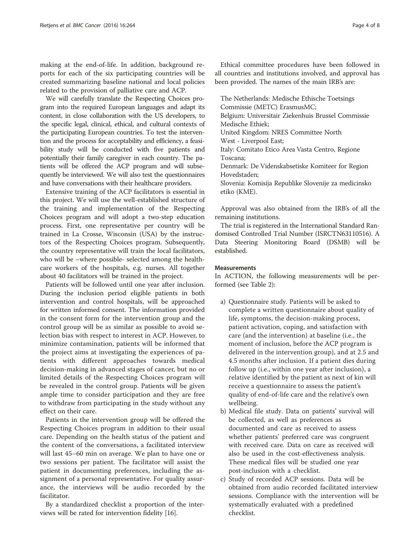making at the end-of-life. In addition, background reports for each of the six participating countries will be created summarizing baseline national and local policies related to the provision of palliative care and ACP.

We will carefully translate the Respecting Choices program into the required European languages and adapt its content, in close collaboration with the US developers, to the specific legal, clinical, ethical, and cultural contexts of the participating European countries. To test the intervention and the process for acceptability and efficiency, a feasibility study will be conducted with five patients and potentially their family caregiver in each country. The patients will be offered the ACP program and will subsequently be interviewed. We will also test the questionnaires and have conversations with their healthcare providers.

Extensive training of the ACP facilitators is essential in this project. We will use the well-established structure of the training and implementation of the Respecting Choices program and will adopt a two-step education process. First, one representative per country will be trained in La Crosse, Wisconsin (USA) by the instructors of the Respecting Choices program. Subsequently, the country representative will train the local facilitators, who will be –where possible- selected among the healthcare workers of the hospitals, e.g. nurses. All together about 40 facilitators will be trained in the project.

Patients will be followed until one year after inclusion. During the inclusion period eligible patients in both intervention and control hospitals, will be approached for written informed consent. The information provided in the consent form for the intervention group and the control group will be as similar as possible to avoid selection bias with respect to interest in ACP. However, to minimize contamination, patients will be informed that the project aims at investigating the experiences of patients with different approaches towards medical decision-making in advanced stages of cancer, but no or limited details of the Respecting Choices program will be revealed in the control group. Patients will be given ample time to consider participation and they are free to withdraw from participating in the study without any effect on their care.

Patients in the intervention group will be offered the Respecting Choices program in addition to their usual care. Depending on the health status of the patient and the content of the conversations, a facilitated interview will last 45–60 min on average. We plan to have one or two sessions per patient. The facilitator will assist the patient in documenting preferences, including the assignment of a personal representative. For quality assurance, the interviews will be audio recorded by the facilitator.

By a standardized checklist a proportion of the interviews will be rated for intervention fidelity [[16\]](#page-7-0).

Ethical committee procedures have been followed in all countries and institutions involved, and approval has been provided. The names of the main IRB's are:

The Netherlands: Medische Ethische Toetsings Commissie (METC) ErasmusMC; Belgium: Universitair Ziekenhuis Brussel Commissie Medische Ethiek; United Kingdom: NRES Committee North West - Liverpool East; Italy: Comitato Etico Area Vasta Centro, Regione Toscana; Denmark: De Videnskabsetiske Komiteer for Region Hovedstaden; Slovenia: Komisija Republike Slovenije za medicinsko etiko (KME).

Approval was also obtained from the IRB's of all the remaining institutions.

The trial is registered in the International Standard Randomised Controlled Trial Number (ISRCTN63110516). A Data Steering Monitoring Board (DSMB) will be established.

#### **Measurements**

In ACTION, the following measurements will be performed (see Table [2](#page-5-0)):

- a) Questionnaire study. Patients will be asked to complete a written questionnaire about quality of life, symptoms, the decision-making process, patient activation, coping, and satisfaction with care (and the intervention) at baseline (i.e., the moment of inclusion, before the ACP program is delivered in the intervention group), and at 2.5 and 4.5 months after inclusion. If a patient dies during follow up (i.e., within one year after inclusion), a relative identified by the patient as next of kin will receive a questionnaire to assess the patient's quality of end-of-life care and the relative's own wellbeing.
- b) Medical file study. Data on patients' survival will be collected, as well as preferences as documented and care as received to assess whether patients' preferred care was congruent with received care. Data on care as received will also be used in the cost-effectiveness analysis. These medical files will be studied one year post-inclusion with a checklist.
- c) Study of recorded ACP sessions. Data will be obtained from audio recorded facilitated interview sessions. Compliance with the intervention will be systematically evaluated with a predefined checklist.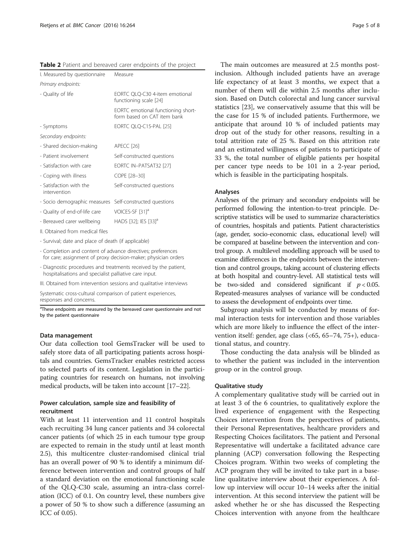<span id="page-5-0"></span>Table 2 Patient and bereaved carer endpoints of the project

| I. Measured by questionnaire                        | Measure                                                           |
|-----------------------------------------------------|-------------------------------------------------------------------|
| Primary endpoints:                                  |                                                                   |
| - Quality of life                                   | EORTC OLO-C30 4-item emotional<br>functioning scale [24]          |
|                                                     | EORTC emotional functioning short-<br>form based on CAT item bank |
| - Symptoms                                          | EORTC QLQ-C15-PAL [25]                                            |
| Secondary endpoints:                                |                                                                   |
| - Shared decision-making                            | APECC <sup>[26]</sup>                                             |
| - Patient involvement                               | Self-constructed questions                                        |
| - Satisfaction with care                            | EORTC IN-PATSAT32 [27]                                            |
| - Coping with illness                               | COPE [28-30]                                                      |
| - Satisfaction with the<br>intervention             | Self-constructed questions                                        |
| - Socio demographic measures                        | Self-constructed questions                                        |
| - Quality of end-of-life care                       | VOICES-SF [31] <sup>a</sup>                                       |
| - Bereaved carer wellbeing                          | HADS [32]; IES [33] <sup>a</sup>                                  |
| II. Obtained from medical files                     |                                                                   |
| - Survival; date and place of death (if applicable) |                                                                   |
|                                                     |                                                                   |

- Completion and content of advance directives; preferences for care; assignment of proxy decision-maker; physician orders
- Diagnostic procedures and treatments received by the patient, hospitalisations and specialist palliative care input.

III. Obtained from intervention sessions and qualitative interviews

Systematic cross-cultural comparison of patient experiences, responses and concerns.

<sup>a</sup>These endpoints are measured by the bereaved carer questionnaire and not by the patient questionnaire

#### Data management

Our data collection tool GemsTracker will be used to safely store data of all participating patients across hospitals and countries. GemsTracker enables restricted access to selected parts of its content. Legislation in the participating countries for research on humans, not involving medical products, will be taken into account [[17](#page-7-0)–[22\]](#page-8-0).

### Power calculation, sample size and feasibility of recruitment

With at least 11 intervention and 11 control hospitals each recruiting 34 lung cancer patients and 34 colorectal cancer patients (of which 25 in each tumour type group are expected to remain in the study until at least month 2.5), this multicentre cluster-randomised clinical trial has an overall power of 90 % to identify a minimum difference between intervention and control groups of half a standard deviation on the emotional functioning scale of the QLQ-C30 scale, assuming an intra-class correlation (ICC) of 0.1. On country level, these numbers give a power of 50 % to show such a difference (assuming an ICC of 0.05).

The main outcomes are measured at 2.5 months postinclusion. Although included patients have an average life expectancy of at least 3 months, we expect that a number of them will die within 2.5 months after inclusion. Based on Dutch colorectal and lung cancer survival statistics [\[23\]](#page-8-0), we conservatively assume that this will be the case for 15 % of included patients. Furthermore, we anticipate that around 10 % of included patients may drop out of the study for other reasons, resulting in a total attrition rate of 25 %. Based on this attrition rate and an estimated willingness of patients to participate of 33 %, the total number of eligible patients per hospital per cancer type needs to be 101 in a 2-year period, which is feasible in the participating hospitals.

#### Analyses

Analyses of the primary and secondary endpoints will be performed following the intention-to-treat principle. Descriptive statistics will be used to summarize characteristics of countries, hospitals and patients. Patient characteristics (age, gender, socio-economic class, educational level) will be compared at baseline between the intervention and control group. A multilevel modelling approach will be used to examine differences in the endpoints between the intervention and control groups, taking account of clustering effects at both hospital and country-level. All statistical tests will be two-sided and considered significant if  $p < 0.05$ . Repeated-measures analyses of variance will be conducted to assess the development of endpoints over time.

Subgroup analysis will be conducted by means of formal interaction tests for intervention and those variables which are more likely to influence the effect of the intervention itself: gender, age class (<65, 65–74, 75+), educational status, and country.

Those conducting the data analysis will be blinded as to whether the patient was included in the intervention group or in the control group.

#### Qualitative study

A complementary qualitative study will be carried out in at least 3 of the 6 countries, to qualitatively explore the lived experience of engagement with the Respecting Choices intervention from the perspectives of patients, their Personal Representatives, healthcare providers and Respecting Choices facilitators. The patient and Personal Representative will undertake a facilitated advance care planning (ACP) conversation following the Respecting Choices program. Within two weeks of completing the ACP program they will be invited to take part in a baseline qualitative interview about their experiences. A follow up interview will occur 10–14 weeks after the initial intervention. At this second interview the patient will be asked whether he or she has discussed the Respecting Choices intervention with anyone from the healthcare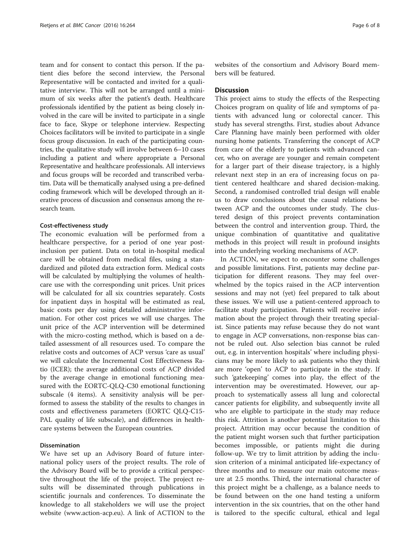team and for consent to contact this person. If the patient dies before the second interview, the Personal Representative will be contacted and invited for a qualitative interview. This will not be arranged until a minimum of six weeks after the patient's death. Healthcare professionals identified by the patient as being closely involved in the care will be invited to participate in a single face to face, Skype or telephone interview. Respecting Choices facilitators will be invited to participate in a single focus group discussion. In each of the participating countries, the qualitative study will involve between 6–10 cases including a patient and where appropriate a Personal Representative and healthcare professionals. All interviews and focus groups will be recorded and transcribed verbatim. Data will be thematically analysed using a pre-defined coding framework which will be developed through an iterative process of discussion and consensus among the research team.

#### Cost-effectiveness study

The economic evaluation will be performed from a healthcare perspective, for a period of one year postinclusion per patient. Data on total in-hospital medical care will be obtained from medical files, using a standardized and piloted data extraction form. Medical costs will be calculated by multiplying the volumes of healthcare use with the corresponding unit prices. Unit prices will be calculated for all six countries separately. Costs for inpatient days in hospital will be estimated as real, basic costs per day using detailed administrative information. For other cost prices we will use charges. The unit price of the ACP intervention will be determined with the micro-costing method, which is based on a detailed assessment of all resources used. To compare the relative costs and outcomes of ACP versus 'care as usual' we will calculate the Incremental Cost Effectiveness Ratio (ICER); the average additional costs of ACP divided by the average change in emotional functioning measured with the EORTC-QLQ-C30 emotional functioning subscale (4 items). A sensitivity analysis will be performed to assess the stability of the results to changes in costs and effectiveness parameters (EORTC QLQ-C15- PAL quality of life subscale), and differences in healthcare systems between the European countries.

#### Dissemination

We have set up an Advisory Board of future international policy users of the project results. The role of the Advisory Board will be to provide a critical perspective throughout the life of the project. The project results will be disseminated through publications in scientific journals and conferences. To disseminate the knowledge to all stakeholders we will use the project website [\(www.action-acp.eu](http://www.action-acp.eu/)). A link of ACTION to the

websites of the consortium and Advisory Board members will be featured.

#### **Discussion**

This project aims to study the effects of the Respecting Choices program on quality of life and symptoms of patients with advanced lung or colorectal cancer. This study has several strengths. First, studies about Advance Care Planning have mainly been performed with older nursing home patients. Transferring the concept of ACP from care of the elderly to patients with advanced cancer, who on average are younger and remain competent for a larger part of their disease trajectory, is a highly relevant next step in an era of increasing focus on patient centered healthcare and shared decision-making. Second, a randomised controlled trial design will enable us to draw conclusions about the causal relations between ACP and the outcomes under study. The clustered design of this project prevents contamination between the control and intervention group. Third, the unique combination of quantitative and qualitative methods in this project will result in profound insights into the underlying working mechanisms of ACP.

In ACTION, we expect to encounter some challenges and possible limitations. First, patients may decline participation for different reasons. They may feel overwhelmed by the topics raised in the ACP intervention sessions and may not (yet) feel prepared to talk about these issues. We will use a patient-centered approach to facilitate study participation. Patients will receive information about the project through their treating specialist. Since patients may refuse because they do not want to engage in ACP conversations, non-response bias cannot be ruled out. Also selection bias cannot be ruled out, e.g. in intervention hospitals' where including physicians may be more likely to ask patients who they think are more 'open' to ACP to participate in the study. If such 'gatekeeping' comes into play, the effect of the intervention may be overestimated. However, our approach to systematically assess all lung and colorectal cancer patients for eligibility, and subsequently invite all who are eligible to participate in the study may reduce this risk. Attrition is another potential limitation to this project. Attrition may occur because the condition of the patient might worsen such that further participation becomes impossible, or patients might die during follow-up. We try to limit attrition by adding the inclusion criterion of a minimal anticipated life-expectancy of three months and to measure our main outcome measure at 2.5 months. Third, the international character of this project might be a challenge, as a balance needs to be found between on the one hand testing a uniform intervention in the six countries, that on the other hand is tailored to the specific cultural, ethical and legal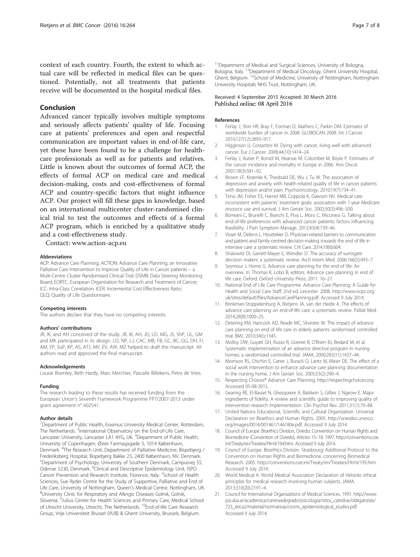<span id="page-7-0"></span>context of each country. Fourth, the extent to which actual care will be reflected in medical files can be questioned. Potentially, not all treatments that patients receive will be documented in the hospital medical files.

#### Conclusion

Advanced cancer typically involves multiple symptoms and seriously affects patients' quality of life. Focusing care at patients' preferences and open and respectful communication are important values in end-of-life care, yet these have been found to be a challenge for healthcare professionals as well as for patients and relatives. Little is known about the outcomes of formal ACP, the effects of formal ACP on medical care and medical decision-making, costs and cost-effectiveness of formal ACP and country-specific factors that might influence ACP. Our project will fill these gaps in knowledge, based on an international multicenter cluster-randomised clinical trial to test the outcomes and effects of a formal ACP program, which is enriched by a qualitative study and a cost-effectiveness study.

#### Contact: [www.action-acp.eu](http://www.action-acp.eu/)

#### **Abbreviations**

ACP: Advance Care Planning; ACTION: Advance Care Planning; an Innovative Palliative Care Intervention to Improve Quality of Life in Cancer patients – a Multi-Centre Cluster Randomised Clinical Trial; DSMB: Data Steering Monitoring Board; EORTC: European Organisation for Research and Treatment of Cancer; ICC: Intra-Class Correlation; ICER: Incremental Cost Effectiveness Ratio; QLQ: Quality of Life Questionnaire.

#### Competing interests

The authors declare that they have no competing interests.

#### Authors' contributions

JR, IK, and AH conceived of the study. JR, IK, AH, JD, LD, MG, JS, ShP, UL, GM and MK participated in its design. LD, NP, LJ, CAC, MB, FB, GC, BC, GG, DH, FI, AM, EP, SuP, KP, AS, ATJ, MV, EV, AW, MZ helped to draft the manuscript. All authors read and approved the final manuscript.

#### Acknowledgements

Louise Bramley, Beth Hardy, Marc Merchier, Pascalle Billekens, Petra de Vries.

#### Funding

The research leading to these results has received funding from the European Union's Seventh Framework Programme FP7/2007-2013 under grant agreement n° 602541.

#### Author details

<sup>1</sup>Department of Public Health, Erasmus University Medical Center, Rotterdam, The Netherlands. <sup>2</sup>International Observatory on the End-of-Life Care, Lancaster University, Lancaster LA1 4YG, UK. <sup>3</sup>Department of Public Health, University of Copenhagen, Øster Farimagsgade 5, 1014 København, Denmark. <sup>4</sup>The Research Unit, Department of Palliative Medicine, Bispebjerg / Frederiksberg Hospital, Bispebjerg Bakke 23, 2400 København, NV, Denmark. 5 Department of Psychology, University of Southern Denmark, Campusvej 55, Odense 5230, Denmark. <sup>6</sup>Clinical and Descriptive Epidemiology Unit, ISPO Cancer Prevention and Research Institute, Florence, Italy. <sup>7</sup>School of Health Sciences, Sue Ryder Centre for the Study of Supportive, Palliative and End of Life Care, University of Nottingham, Queen's Medical Centre, Nottingham, UK. <sup>8</sup> University Clinic for Respiratory and Allergic Diseases Golnik, Golnik, Slovenia. <sup>9</sup>Julius Center for Health Sciences and Primary Care, Medical School of Utrecht University, Utrecht, The Netherlands. <sup>10</sup>End-of-life Care Research Group, Vrije Universiteit Brussel (VUB) & Ghent University, Brussels, Belgium.

<sup>11</sup>Department of Medical and Surgical Sciences, University of Bologna, Bologna, Italy. <sup>12</sup>Department of Medical Oncology, Ghent University Hospital, Ghent, Belgium. 13School of Medicine, University of Nottingham, Nottingham University Hospitals NHS Trust, Nottingham, UK.

#### Received: 4 September 2015 Accepted: 30 March 2016 Published online: 08 April 2016

#### References

- 1. Ferlay J, Shin HR, Bray F, Forman D, Mathers C, Parkin DM. Estimates of worldwide burden of cancer in 2008: GLOBOCAN 2008. Int J Cancer. 2010;127(12):2893–917.
- 2. Higginson IJ, Costantini M. Dying with cancer, living well with advanced cancer. Eur J Cancer. 2008;44(10):1414–24.
- 3. Ferlay J, Autier P, Boniol M, Heanue M, Colombet M, Boyle P. Estimates of the cancer incidence and mortality in Europe in 2006. Ann Oncol. 2007;18(3):581–92.
- 4. Brown LF, Kroenke K, Theobald DE, Wu J, Tu W. The association of depression and anxiety with health-related quality of life in cancer patients with depression and/or pain. Psychooncology. 2010;19(7):734–41.
- Teno JM, Fisher ES, Hamel MB, Coppola K, Dawson NV. Medical care inconsistent with patients' treatment goals: association with 1-year Medicare resource use and survival. J Am Geriatr Soc. 2002;50(3):496–500.
- 6. Borreani C, Brunelli C, Bianchi E, Piva L, Moro C, Miccinesi G. Talking about end-of-life preferences with advanced cancer patients: factors influencing feasibility. J Pain Symptom Manage. 2012;43(4):739–46.
- 7. Visser M, Deliens L, Houttekier D. Physician-related barriers to communication and patient-and family-centred decision-making towards the end of life in intensive care: a systematic review. Crit Care. 2014;18(6):604.
- 8. Shalowitz DI, Garrett-Mayer E, Wendler D. The accuracy of surrogate decision makers: a systematic review. Arch Intern Med. 2006;166(5):493–7.
- 9. Seymour J, Horne G. Advance care planning for the end of life: An overview. In: Thomas K, Lobo B, editors. Advance care planning in end of life care. Oxford: Oxford University Press; 2011. 16–27.
- 10. National End of Life Care Programme. Advance Care Planning: A Guide for Health and Social Care Staff, 2nd ed. Leicester. 2008. [http://www.ncpc.org.](http://www.ncpc.org.uk/sites/default/files/AdvanceCarePlanning.pdf) [uk/sites/default/files/AdvanceCarePlanning.pdf.](http://www.ncpc.org.uk/sites/default/files/AdvanceCarePlanning.pdf) Accessed 9 July 2014.
- 11. Brinkman-Stoppelenburg A, Rietjens JA, van der Heide A. The effects of advance care planning on end-of-life care: a systematic review. Palliat Med. 2014;28(8):1000–25.
- 12. Detering KM, Hancock AD, Reade MC, Silvester W. The impact of advance care planning on end of life care in elderly patients: randomised controlled trial. BMJ. 2010;340:c1345.
- 13. Molloy DW, Guyatt GH, Russo R, Goeree R, O'Brien BJ, Bedard M, et al. Systematic implementation of an advance directive program in nursing homes: a randomized controlled trial. JAMA. 2000;283(11):1437–44.
- 14. Morrison RS, Chichin E, Carter J, Burack O, Lantz M, Meier DE. The effect of a social work intervention to enhance advance care planning documentation in the nursing home. J Am Geriatr Soc. 2005;53(2):290–4.
- 15. Respecting Choices® Advance Care Planning. [http://respectingchoices.org](http://respectingchoices.org/) Accessed 05-08-2015.
- 16. Gearing RE, El-Bassel N, Ghesquiere A, Baldwin S, Gillies J, Ngeow E. Major ingredients of fidelity: A review and scientific guide to improving quality of intervention research implementation. Clin Psychol Rev. 2011;31(1):79–88.
- 17. United Nations Educational, Scientific and Cultural Organization. Universal Declaration on Bioethics and Human Rights. 2005. [http://unesdoc.unesco.](http://unesdoc.unesco.org/images/0014/001461/146180e.pdf) [org/images/0014/001461/146180e.pdf](http://unesdoc.unesco.org/images/0014/001461/146180e.pdf). Accessed 9 July 2014.
- 18. Council of Europe. Bioethics Division, Oviedo: Convention on Human Rights and Biomedicine (Convention of Oviedo), Articles 15–18. 1997. [http://conventions.coe.](http://conventions.coe.int/Treaty/en/Treaties/Html/164.htm) [int/Treaty/en/Treaties/Html/164.htm.](http://conventions.coe.int/Treaty/en/Treaties/Html/164.htm) Accessed 9 July 2014.
- 19. Council of Europe. Bioethics Division. Strasbourg: Additional Protocol to the Convention on Human Rights and Biomedicine, concerning Biomedical Research. 2005.<http://conventions.coe.int/Treaty/en/Treaties/Html/195.htm>. Accessed 9 July 2014.
- 20. World Medical A. World Medical Association Declaration of Helsinki: ethical principles for medical research involving human subjects. JAMA. 2013;310(20):2191–4.
- 21. Council for International Organizations of Medical Sciences. 1991. [http://www.](http://www.psi.uba.ar/academica/carrerasdegrado/psicologia/sitios_catedras/obligatorias/723_etica2/material/normativas/cioms_epidemiological_studies.pdf) [psi.uba.ar/academica/carrerasdegrado/psicologia/sitios\\_catedras/obligatorias/](http://www.psi.uba.ar/academica/carrerasdegrado/psicologia/sitios_catedras/obligatorias/723_etica2/material/normativas/cioms_epidemiological_studies.pdf) [723\\_etica2/material/normativas/cioms\\_epidemiological\\_studies.pdf.](http://www.psi.uba.ar/academica/carrerasdegrado/psicologia/sitios_catedras/obligatorias/723_etica2/material/normativas/cioms_epidemiological_studies.pdf) Accessed 9 July 2014.